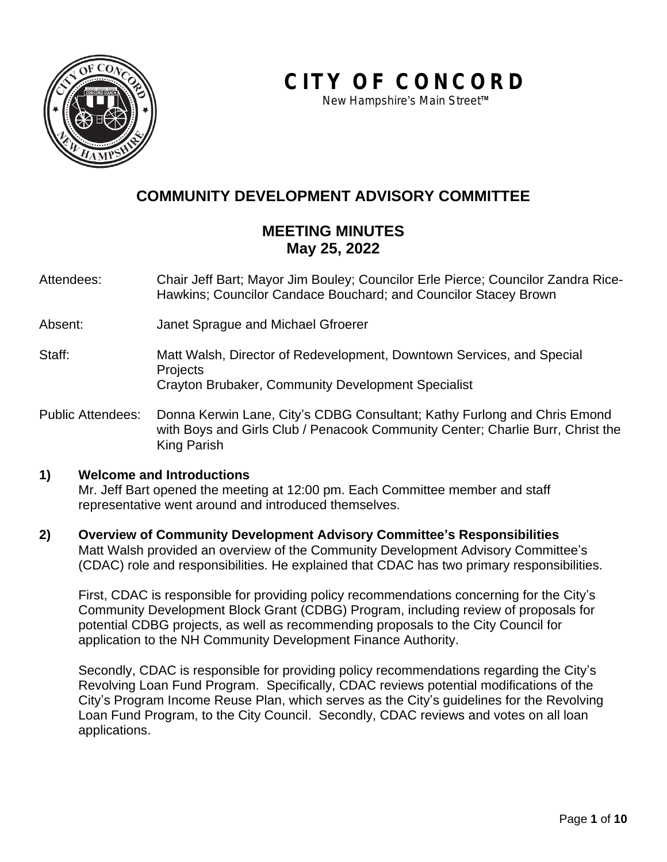

**CITY OF CONCORD**

*New Hampshire*'*s Main Street*™

# **COMMUNITY DEVELOPMENT ADVISORY COMMITTEE**

## **MEETING MINUTES May 25, 2022**

Attendees: Chair Jeff Bart; Mayor Jim Bouley; Councilor Erle Pierce; Councilor Zandra Rice-Hawkins; Councilor Candace Bouchard; and Councilor Stacey Brown

Absent: Janet Sprague and Michael Gfroerer

- Staff: Matt Walsh, Director of Redevelopment, Downtown Services, and Special **Projects** Crayton Brubaker, Community Development Specialist
- Public Attendees: Donna Kerwin Lane, City's CDBG Consultant; Kathy Furlong and Chris Emond with Boys and Girls Club / Penacook Community Center; Charlie Burr, Christ the King Parish

#### **1) Welcome and Introductions**

Mr. Jeff Bart opened the meeting at 12:00 pm. Each Committee member and staff representative went around and introduced themselves.

**2) Overview of Community Development Advisory Committee's Responsibilities** Matt Walsh provided an overview of the Community Development Advisory Committee's (CDAC) role and responsibilities. He explained that CDAC has two primary responsibilities.

First, CDAC is responsible for providing policy recommendations concerning for the City's Community Development Block Grant (CDBG) Program, including review of proposals for potential CDBG projects, as well as recommending proposals to the City Council for application to the NH Community Development Finance Authority.

Secondly, CDAC is responsible for providing policy recommendations regarding the City's Revolving Loan Fund Program. Specifically, CDAC reviews potential modifications of the City's Program Income Reuse Plan, which serves as the City's guidelines for the Revolving Loan Fund Program, to the City Council. Secondly, CDAC reviews and votes on all loan applications.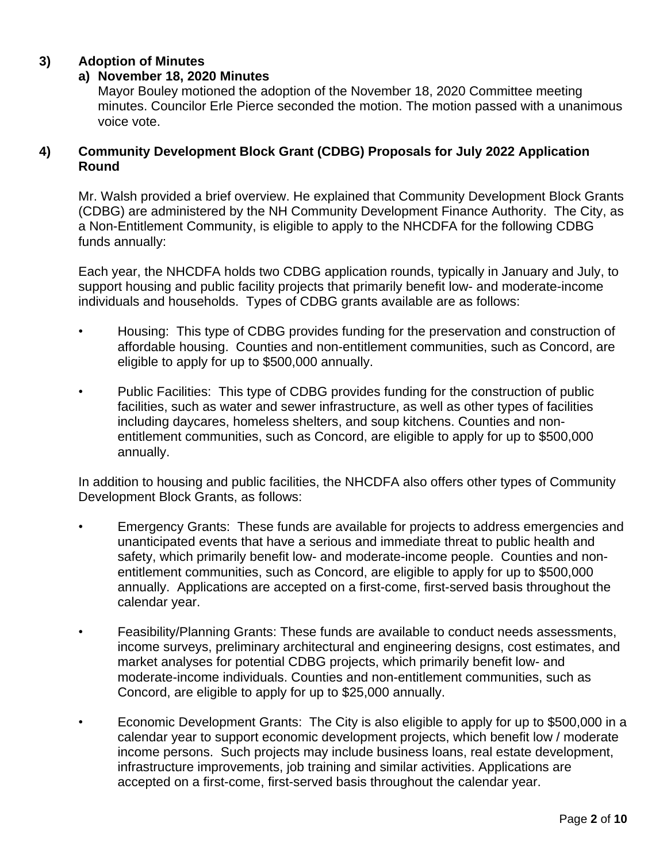## **3) Adoption of Minutes**

#### **a) November 18, 2020 Minutes**

Mayor Bouley motioned the adoption of the November 18, 2020 Committee meeting minutes. Councilor Erle Pierce seconded the motion. The motion passed with a unanimous voice vote.

#### **4) Community Development Block Grant (CDBG) Proposals for July 2022 Application Round**

Mr. Walsh provided a brief overview. He explained that Community Development Block Grants (CDBG) are administered by the NH Community Development Finance Authority. The City, as a Non-Entitlement Community, is eligible to apply to the NHCDFA for the following CDBG funds annually:

Each year, the NHCDFA holds two CDBG application rounds, typically in January and July, to support housing and public facility projects that primarily benefit low- and moderate-income individuals and households. Types of CDBG grants available are as follows:

- Housing: This type of CDBG provides funding for the preservation and construction of affordable housing. Counties and non-entitlement communities, such as Concord, are eligible to apply for up to \$500,000 annually.
- Public Facilities: This type of CDBG provides funding for the construction of public facilities, such as water and sewer infrastructure, as well as other types of facilities including daycares, homeless shelters, and soup kitchens. Counties and nonentitlement communities, such as Concord, are eligible to apply for up to \$500,000 annually.

In addition to housing and public facilities, the NHCDFA also offers other types of Community Development Block Grants, as follows:

- Emergency Grants: These funds are available for projects to address emergencies and unanticipated events that have a serious and immediate threat to public health and safety, which primarily benefit low- and moderate-income people. Counties and nonentitlement communities, such as Concord, are eligible to apply for up to \$500,000 annually. Applications are accepted on a first-come, first-served basis throughout the calendar year.
- Feasibility/Planning Grants: These funds are available to conduct needs assessments, income surveys, preliminary architectural and engineering designs, cost estimates, and market analyses for potential CDBG projects, which primarily benefit low- and moderate-income individuals. Counties and non-entitlement communities, such as Concord, are eligible to apply for up to \$25,000 annually.
- Economic Development Grants: The City is also eligible to apply for up to \$500,000 in a calendar year to support economic development projects, which benefit low / moderate income persons. Such projects may include business loans, real estate development, infrastructure improvements, job training and similar activities. Applications are accepted on a first-come, first-served basis throughout the calendar year.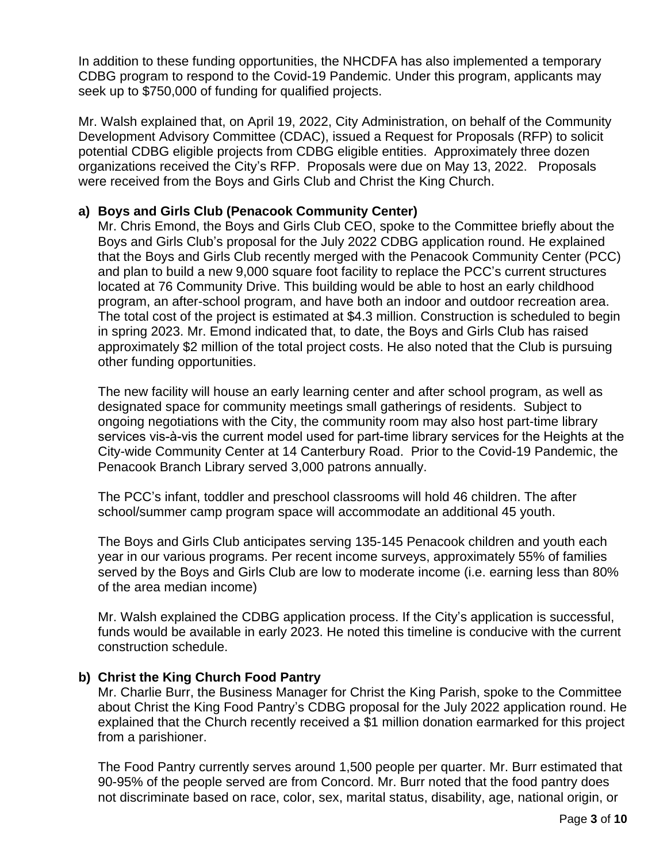In addition to these funding opportunities, the NHCDFA has also implemented a temporary CDBG program to respond to the Covid-19 Pandemic. Under this program, applicants may seek up to \$750,000 of funding for qualified projects.

Mr. Walsh explained that, on April 19, 2022, City Administration, on behalf of the Community Development Advisory Committee (CDAC), issued a Request for Proposals (RFP) to solicit potential CDBG eligible projects from CDBG eligible entities. Approximately three dozen organizations received the City's RFP. Proposals were due on May 13, 2022. Proposals were received from the Boys and Girls Club and Christ the King Church.

## **a) Boys and Girls Club (Penacook Community Center)**

Mr. Chris Emond, the Boys and Girls Club CEO, spoke to the Committee briefly about the Boys and Girls Club's proposal for the July 2022 CDBG application round. He explained that the Boys and Girls Club recently merged with the Penacook Community Center (PCC) and plan to build a new 9,000 square foot facility to replace the PCC's current structures located at 76 Community Drive. This building would be able to host an early childhood program, an after-school program, and have both an indoor and outdoor recreation area. The total cost of the project is estimated at \$4.3 million. Construction is scheduled to begin in spring 2023. Mr. Emond indicated that, to date, the Boys and Girls Club has raised approximately \$2 million of the total project costs. He also noted that the Club is pursuing other funding opportunities.

The new facility will house an early learning center and after school program, as well as designated space for community meetings small gatherings of residents. Subject to ongoing negotiations with the City, the community room may also host part-time library services vis-à-vis the current model used for part-time library services for the Heights at the City-wide Community Center at 14 Canterbury Road. Prior to the Covid-19 Pandemic, the Penacook Branch Library served 3,000 patrons annually.

The PCC's infant, toddler and preschool classrooms will hold 46 children. The after school/summer camp program space will accommodate an additional 45 youth.

The Boys and Girls Club anticipates serving 135-145 Penacook children and youth each year in our various programs. Per recent income surveys, approximately 55% of families served by the Boys and Girls Club are low to moderate income (i.e. earning less than 80% of the area median income)

Mr. Walsh explained the CDBG application process. If the City's application is successful, funds would be available in early 2023. He noted this timeline is conducive with the current construction schedule.

## **b) Christ the King Church Food Pantry**

Mr. Charlie Burr, the Business Manager for Christ the King Parish, spoke to the Committee about Christ the King Food Pantry's CDBG proposal for the July 2022 application round. He explained that the Church recently received a \$1 million donation earmarked for this project from a parishioner.

The Food Pantry currently serves around 1,500 people per quarter. Mr. Burr estimated that 90-95% of the people served are from Concord. Mr. Burr noted that the food pantry does not discriminate based on race, color, sex, marital status, disability, age, national origin, or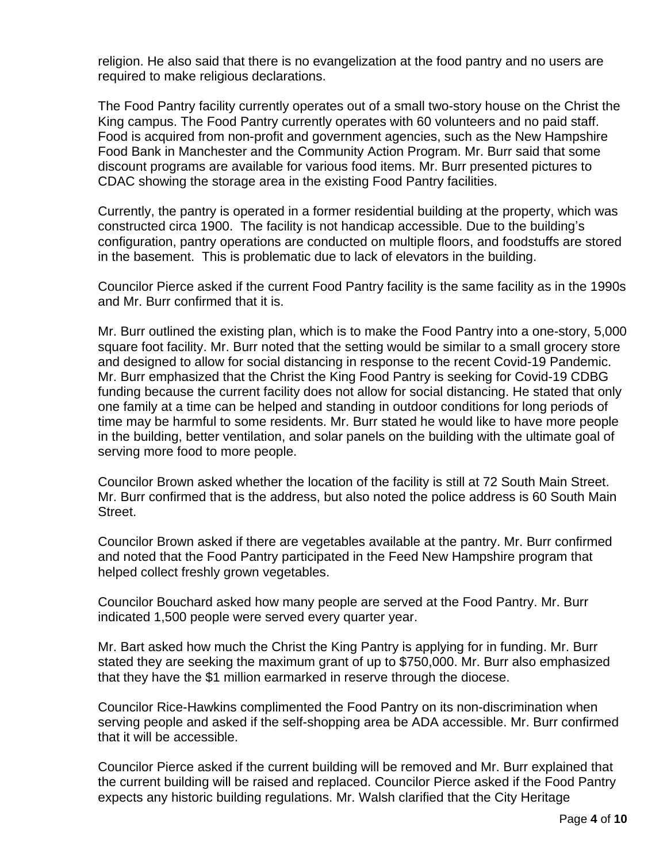religion. He also said that there is no evangelization at the food pantry and no users are required to make religious declarations.

The Food Pantry facility currently operates out of a small two-story house on the Christ the King campus. The Food Pantry currently operates with 60 volunteers and no paid staff. Food is acquired from non-profit and government agencies, such as the New Hampshire Food Bank in Manchester and the Community Action Program. Mr. Burr said that some discount programs are available for various food items. Mr. Burr presented pictures to CDAC showing the storage area in the existing Food Pantry facilities.

Currently, the pantry is operated in a former residential building at the property, which was constructed circa 1900. The facility is not handicap accessible. Due to the building's configuration, pantry operations are conducted on multiple floors, and foodstuffs are stored in the basement. This is problematic due to lack of elevators in the building.

Councilor Pierce asked if the current Food Pantry facility is the same facility as in the 1990s and Mr. Burr confirmed that it is.

Mr. Burr outlined the existing plan, which is to make the Food Pantry into a one-story, 5,000 square foot facility. Mr. Burr noted that the setting would be similar to a small grocery store and designed to allow for social distancing in response to the recent Covid-19 Pandemic. Mr. Burr emphasized that the Christ the King Food Pantry is seeking for Covid-19 CDBG funding because the current facility does not allow for social distancing. He stated that only one family at a time can be helped and standing in outdoor conditions for long periods of time may be harmful to some residents. Mr. Burr stated he would like to have more people in the building, better ventilation, and solar panels on the building with the ultimate goal of serving more food to more people.

Councilor Brown asked whether the location of the facility is still at 72 South Main Street. Mr. Burr confirmed that is the address, but also noted the police address is 60 South Main Street.

Councilor Brown asked if there are vegetables available at the pantry. Mr. Burr confirmed and noted that the Food Pantry participated in the Feed New Hampshire program that helped collect freshly grown vegetables.

Councilor Bouchard asked how many people are served at the Food Pantry. Mr. Burr indicated 1,500 people were served every quarter year.

Mr. Bart asked how much the Christ the King Pantry is applying for in funding. Mr. Burr stated they are seeking the maximum grant of up to \$750,000. Mr. Burr also emphasized that they have the \$1 million earmarked in reserve through the diocese.

Councilor Rice-Hawkins complimented the Food Pantry on its non-discrimination when serving people and asked if the self-shopping area be ADA accessible. Mr. Burr confirmed that it will be accessible.

Councilor Pierce asked if the current building will be removed and Mr. Burr explained that the current building will be raised and replaced. Councilor Pierce asked if the Food Pantry expects any historic building regulations. Mr. Walsh clarified that the City Heritage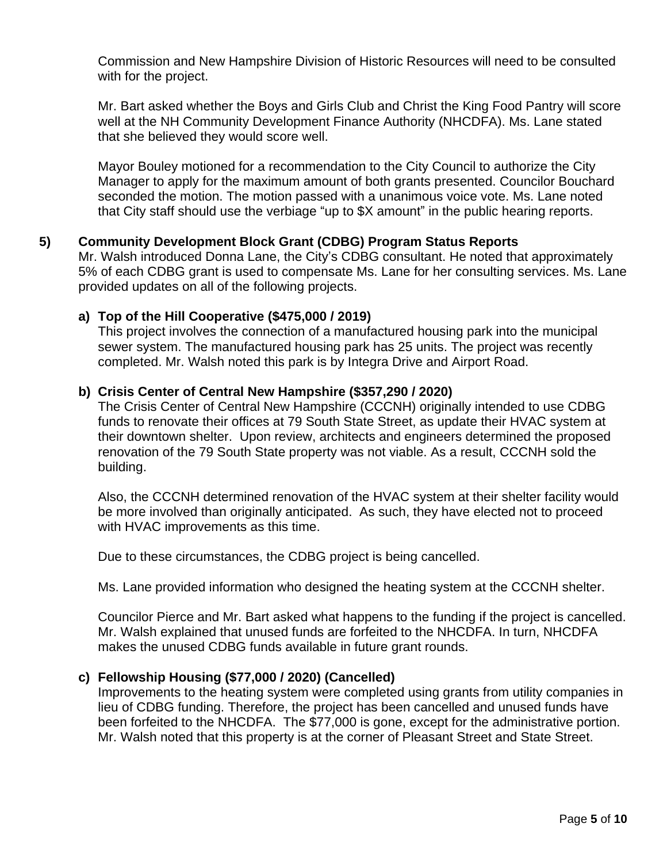Commission and New Hampshire Division of Historic Resources will need to be consulted with for the project.

Mr. Bart asked whether the Boys and Girls Club and Christ the King Food Pantry will score well at the NH Community Development Finance Authority (NHCDFA). Ms. Lane stated that she believed they would score well.

Mayor Bouley motioned for a recommendation to the City Council to authorize the City Manager to apply for the maximum amount of both grants presented. Councilor Bouchard seconded the motion. The motion passed with a unanimous voice vote. Ms. Lane noted that City staff should use the verbiage "up to \$X amount" in the public hearing reports.

## **5) Community Development Block Grant (CDBG) Program Status Reports**

Mr. Walsh introduced Donna Lane, the City's CDBG consultant. He noted that approximately 5% of each CDBG grant is used to compensate Ms. Lane for her consulting services. Ms. Lane provided updates on all of the following projects.

## **a) Top of the Hill Cooperative (\$475,000 / 2019)**

This project involves the connection of a manufactured housing park into the municipal sewer system. The manufactured housing park has 25 units. The project was recently completed. Mr. Walsh noted this park is by Integra Drive and Airport Road.

#### **b) Crisis Center of Central New Hampshire (\$357,290 / 2020)**

The Crisis Center of Central New Hampshire (CCCNH) originally intended to use CDBG funds to renovate their offices at 79 South State Street, as update their HVAC system at their downtown shelter. Upon review, architects and engineers determined the proposed renovation of the 79 South State property was not viable. As a result, CCCNH sold the building.

Also, the CCCNH determined renovation of the HVAC system at their shelter facility would be more involved than originally anticipated. As such, they have elected not to proceed with HVAC improvements as this time.

Due to these circumstances, the CDBG project is being cancelled.

Ms. Lane provided information who designed the heating system at the CCCNH shelter.

Councilor Pierce and Mr. Bart asked what happens to the funding if the project is cancelled. Mr. Walsh explained that unused funds are forfeited to the NHCDFA. In turn, NHCDFA makes the unused CDBG funds available in future grant rounds.

#### **c) Fellowship Housing (\$77,000 / 2020) (Cancelled)**

Improvements to the heating system were completed using grants from utility companies in lieu of CDBG funding. Therefore, the project has been cancelled and unused funds have been forfeited to the NHCDFA. The \$77,000 is gone, except for the administrative portion. Mr. Walsh noted that this property is at the corner of Pleasant Street and State Street.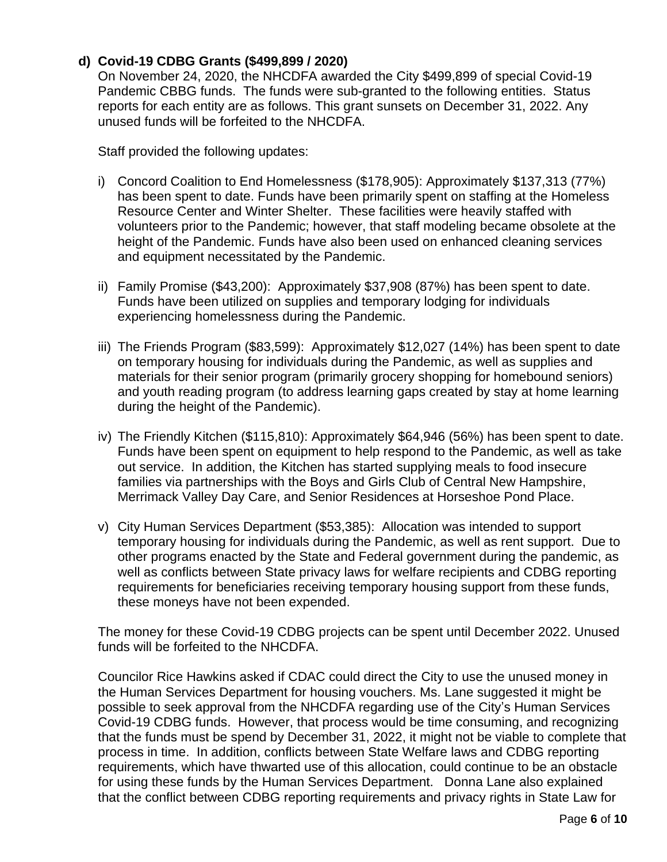## **d) Covid-19 CDBG Grants (\$499,899 / 2020)**

On November 24, 2020, the NHCDFA awarded the City \$499,899 of special Covid-19 Pandemic CBBG funds. The funds were sub-granted to the following entities. Status reports for each entity are as follows. This grant sunsets on December 31, 2022. Any unused funds will be forfeited to the NHCDFA.

Staff provided the following updates:

- i) Concord Coalition to End Homelessness (\$178,905): Approximately \$137,313 (77%) has been spent to date. Funds have been primarily spent on staffing at the Homeless Resource Center and Winter Shelter. These facilities were heavily staffed with volunteers prior to the Pandemic; however, that staff modeling became obsolete at the height of the Pandemic. Funds have also been used on enhanced cleaning services and equipment necessitated by the Pandemic.
- ii) Family Promise (\$43,200): Approximately \$37,908 (87%) has been spent to date. Funds have been utilized on supplies and temporary lodging for individuals experiencing homelessness during the Pandemic.
- iii) The Friends Program (\$83,599): Approximately \$12,027 (14%) has been spent to date on temporary housing for individuals during the Pandemic, as well as supplies and materials for their senior program (primarily grocery shopping for homebound seniors) and youth reading program (to address learning gaps created by stay at home learning during the height of the Pandemic).
- iv) The Friendly Kitchen (\$115,810): Approximately \$64,946 (56%) has been spent to date. Funds have been spent on equipment to help respond to the Pandemic, as well as take out service. In addition, the Kitchen has started supplying meals to food insecure families via partnerships with the Boys and Girls Club of Central New Hampshire, Merrimack Valley Day Care, and Senior Residences at Horseshoe Pond Place.
- v) City Human Services Department (\$53,385): Allocation was intended to support temporary housing for individuals during the Pandemic, as well as rent support. Due to other programs enacted by the State and Federal government during the pandemic, as well as conflicts between State privacy laws for welfare recipients and CDBG reporting requirements for beneficiaries receiving temporary housing support from these funds, these moneys have not been expended.

The money for these Covid-19 CDBG projects can be spent until December 2022. Unused funds will be forfeited to the NHCDFA.

Councilor Rice Hawkins asked if CDAC could direct the City to use the unused money in the Human Services Department for housing vouchers. Ms. Lane suggested it might be possible to seek approval from the NHCDFA regarding use of the City's Human Services Covid-19 CDBG funds. However, that process would be time consuming, and recognizing that the funds must be spend by December 31, 2022, it might not be viable to complete that process in time. In addition, conflicts between State Welfare laws and CDBG reporting requirements, which have thwarted use of this allocation, could continue to be an obstacle for using these funds by the Human Services Department. Donna Lane also explained that the conflict between CDBG reporting requirements and privacy rights in State Law for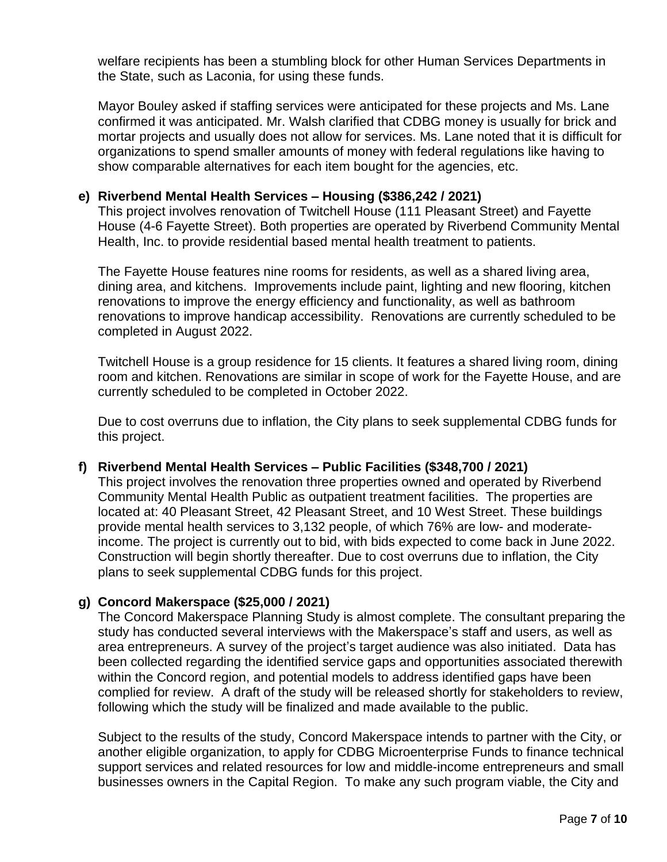welfare recipients has been a stumbling block for other Human Services Departments in the State, such as Laconia, for using these funds.

Mayor Bouley asked if staffing services were anticipated for these projects and Ms. Lane confirmed it was anticipated. Mr. Walsh clarified that CDBG money is usually for brick and mortar projects and usually does not allow for services. Ms. Lane noted that it is difficult for organizations to spend smaller amounts of money with federal regulations like having to show comparable alternatives for each item bought for the agencies, etc.

#### **e) Riverbend Mental Health Services – Housing (\$386,242 / 2021)**

This project involves renovation of Twitchell House (111 Pleasant Street) and Fayette House (4-6 Fayette Street). Both properties are operated by Riverbend Community Mental Health, Inc. to provide residential based mental health treatment to patients.

The Fayette House features nine rooms for residents, as well as a shared living area, dining area, and kitchens. Improvements include paint, lighting and new flooring, kitchen renovations to improve the energy efficiency and functionality, as well as bathroom renovations to improve handicap accessibility. Renovations are currently scheduled to be completed in August 2022.

Twitchell House is a group residence for 15 clients. It features a shared living room, dining room and kitchen. Renovations are similar in scope of work for the Fayette House, and are currently scheduled to be completed in October 2022.

Due to cost overruns due to inflation, the City plans to seek supplemental CDBG funds for this project.

#### **f) Riverbend Mental Health Services – Public Facilities (\$348,700 / 2021)**

This project involves the renovation three properties owned and operated by Riverbend Community Mental Health Public as outpatient treatment facilities. The properties are located at: 40 Pleasant Street, 42 Pleasant Street, and 10 West Street. These buildings provide mental health services to 3,132 people, of which 76% are low- and moderateincome. The project is currently out to bid, with bids expected to come back in June 2022. Construction will begin shortly thereafter. Due to cost overruns due to inflation, the City plans to seek supplemental CDBG funds for this project.

#### **g) Concord Makerspace (\$25,000 / 2021)**

The Concord Makerspace Planning Study is almost complete. The consultant preparing the study has conducted several interviews with the Makerspace's staff and users, as well as area entrepreneurs. A survey of the project's target audience was also initiated. Data has been collected regarding the identified service gaps and opportunities associated therewith within the Concord region, and potential models to address identified gaps have been complied for review. A draft of the study will be released shortly for stakeholders to review, following which the study will be finalized and made available to the public.

Subject to the results of the study, Concord Makerspace intends to partner with the City, or another eligible organization, to apply for CDBG Microenterprise Funds to finance technical support services and related resources for low and middle-income entrepreneurs and small businesses owners in the Capital Region. To make any such program viable, the City and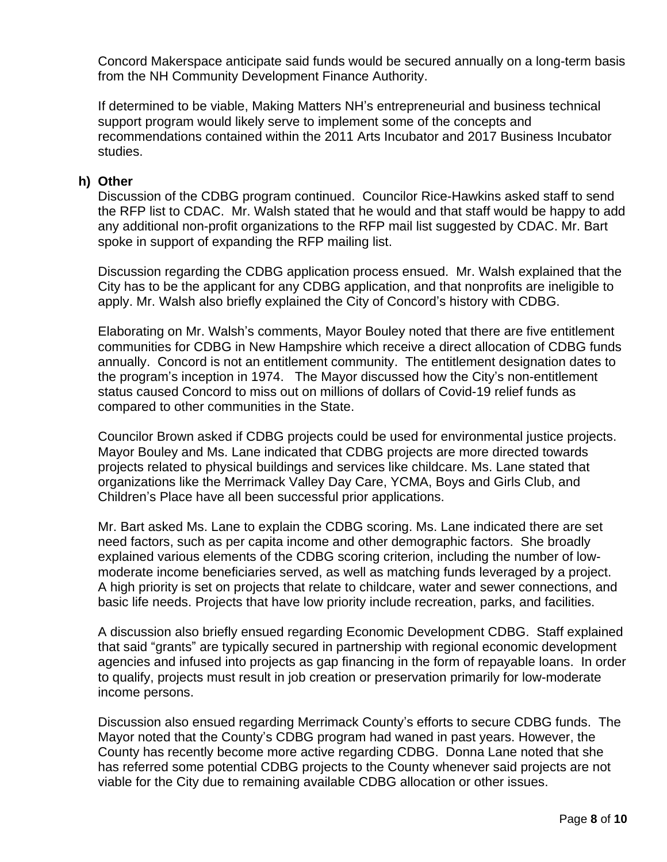Concord Makerspace anticipate said funds would be secured annually on a long-term basis from the NH Community Development Finance Authority.

If determined to be viable, Making Matters NH's entrepreneurial and business technical support program would likely serve to implement some of the concepts and recommendations contained within the 2011 Arts Incubator and 2017 Business Incubator studies.

#### **h) Other**

Discussion of the CDBG program continued. Councilor Rice-Hawkins asked staff to send the RFP list to CDAC. Mr. Walsh stated that he would and that staff would be happy to add any additional non-profit organizations to the RFP mail list suggested by CDAC. Mr. Bart spoke in support of expanding the RFP mailing list.

Discussion regarding the CDBG application process ensued. Mr. Walsh explained that the City has to be the applicant for any CDBG application, and that nonprofits are ineligible to apply. Mr. Walsh also briefly explained the City of Concord's history with CDBG.

Elaborating on Mr. Walsh's comments, Mayor Bouley noted that there are five entitlement communities for CDBG in New Hampshire which receive a direct allocation of CDBG funds annually. Concord is not an entitlement community. The entitlement designation dates to the program's inception in 1974. The Mayor discussed how the City's non-entitlement status caused Concord to miss out on millions of dollars of Covid-19 relief funds as compared to other communities in the State.

Councilor Brown asked if CDBG projects could be used for environmental justice projects. Mayor Bouley and Ms. Lane indicated that CDBG projects are more directed towards projects related to physical buildings and services like childcare. Ms. Lane stated that organizations like the Merrimack Valley Day Care, YCMA, Boys and Girls Club, and Children's Place have all been successful prior applications.

Mr. Bart asked Ms. Lane to explain the CDBG scoring. Ms. Lane indicated there are set need factors, such as per capita income and other demographic factors. She broadly explained various elements of the CDBG scoring criterion, including the number of lowmoderate income beneficiaries served, as well as matching funds leveraged by a project. A high priority is set on projects that relate to childcare, water and sewer connections, and basic life needs. Projects that have low priority include recreation, parks, and facilities.

A discussion also briefly ensued regarding Economic Development CDBG. Staff explained that said "grants" are typically secured in partnership with regional economic development agencies and infused into projects as gap financing in the form of repayable loans. In order to qualify, projects must result in job creation or preservation primarily for low-moderate income persons.

Discussion also ensued regarding Merrimack County's efforts to secure CDBG funds. The Mayor noted that the County's CDBG program had waned in past years. However, the County has recently become more active regarding CDBG. Donna Lane noted that she has referred some potential CDBG projects to the County whenever said projects are not viable for the City due to remaining available CDBG allocation or other issues.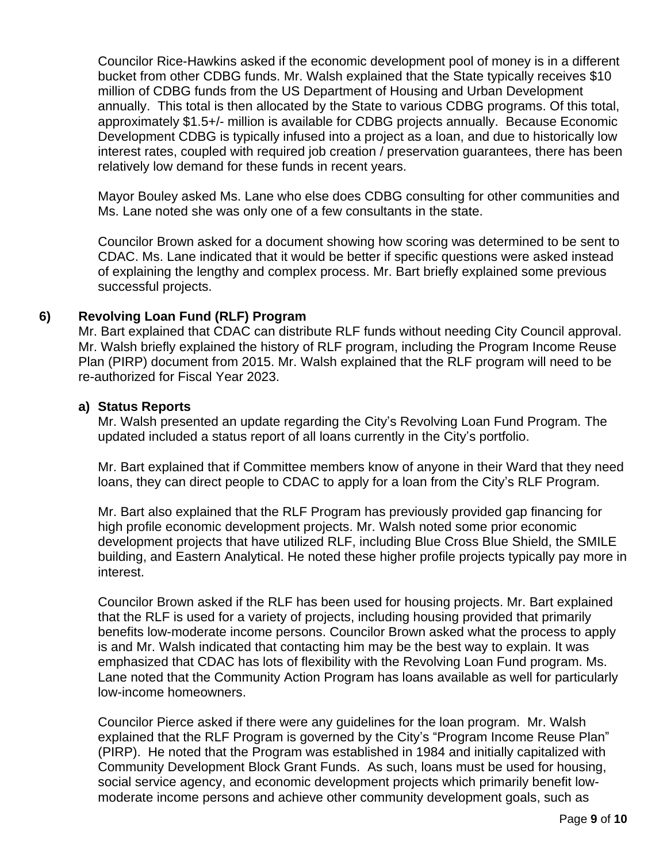Councilor Rice-Hawkins asked if the economic development pool of money is in a different bucket from other CDBG funds. Mr. Walsh explained that the State typically receives \$10 million of CDBG funds from the US Department of Housing and Urban Development annually. This total is then allocated by the State to various CDBG programs. Of this total, approximately \$1.5+/- million is available for CDBG projects annually. Because Economic Development CDBG is typically infused into a project as a loan, and due to historically low interest rates, coupled with required job creation / preservation guarantees, there has been relatively low demand for these funds in recent years.

Mayor Bouley asked Ms. Lane who else does CDBG consulting for other communities and Ms. Lane noted she was only one of a few consultants in the state.

Councilor Brown asked for a document showing how scoring was determined to be sent to CDAC. Ms. Lane indicated that it would be better if specific questions were asked instead of explaining the lengthy and complex process. Mr. Bart briefly explained some previous successful projects.

## **6) Revolving Loan Fund (RLF) Program**

Mr. Bart explained that CDAC can distribute RLF funds without needing City Council approval. Mr. Walsh briefly explained the history of RLF program, including the Program Income Reuse Plan (PIRP) document from 2015. Mr. Walsh explained that the RLF program will need to be re-authorized for Fiscal Year 2023.

#### **a) Status Reports**

Mr. Walsh presented an update regarding the City's Revolving Loan Fund Program. The updated included a status report of all loans currently in the City's portfolio.

Mr. Bart explained that if Committee members know of anyone in their Ward that they need loans, they can direct people to CDAC to apply for a loan from the City's RLF Program.

Mr. Bart also explained that the RLF Program has previously provided gap financing for high profile economic development projects. Mr. Walsh noted some prior economic development projects that have utilized RLF, including Blue Cross Blue Shield, the SMILE building, and Eastern Analytical. He noted these higher profile projects typically pay more in interest.

Councilor Brown asked if the RLF has been used for housing projects. Mr. Bart explained that the RLF is used for a variety of projects, including housing provided that primarily benefits low-moderate income persons. Councilor Brown asked what the process to apply is and Mr. Walsh indicated that contacting him may be the best way to explain. It was emphasized that CDAC has lots of flexibility with the Revolving Loan Fund program. Ms. Lane noted that the Community Action Program has loans available as well for particularly low-income homeowners.

Councilor Pierce asked if there were any guidelines for the loan program. Mr. Walsh explained that the RLF Program is governed by the City's "Program Income Reuse Plan" (PIRP). He noted that the Program was established in 1984 and initially capitalized with Community Development Block Grant Funds. As such, loans must be used for housing, social service agency, and economic development projects which primarily benefit lowmoderate income persons and achieve other community development goals, such as